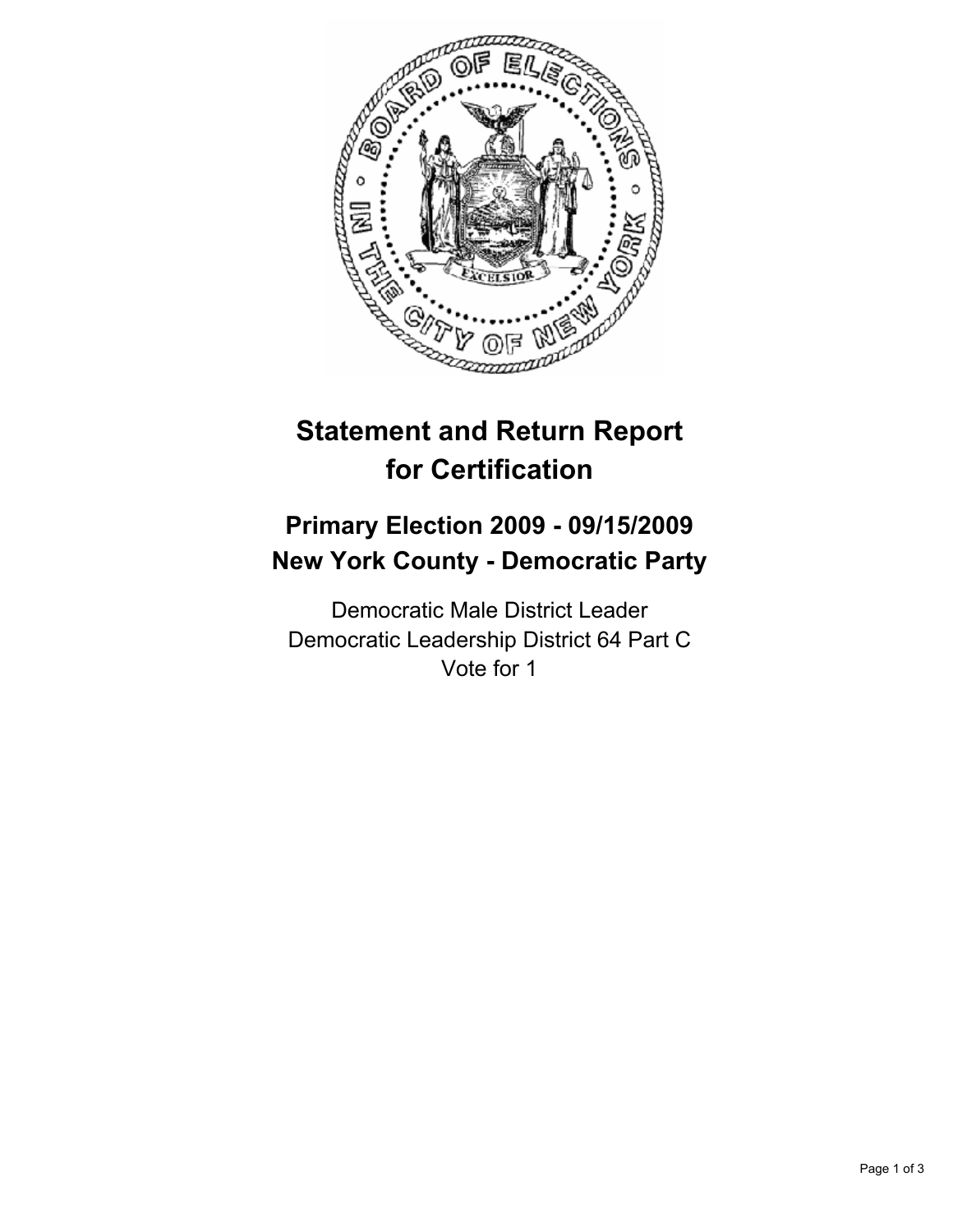

# **Statement and Return Report for Certification**

## **Primary Election 2009 - 09/15/2009 New York County - Democratic Party**

Democratic Male District Leader Democratic Leadership District 64 Part C Vote for 1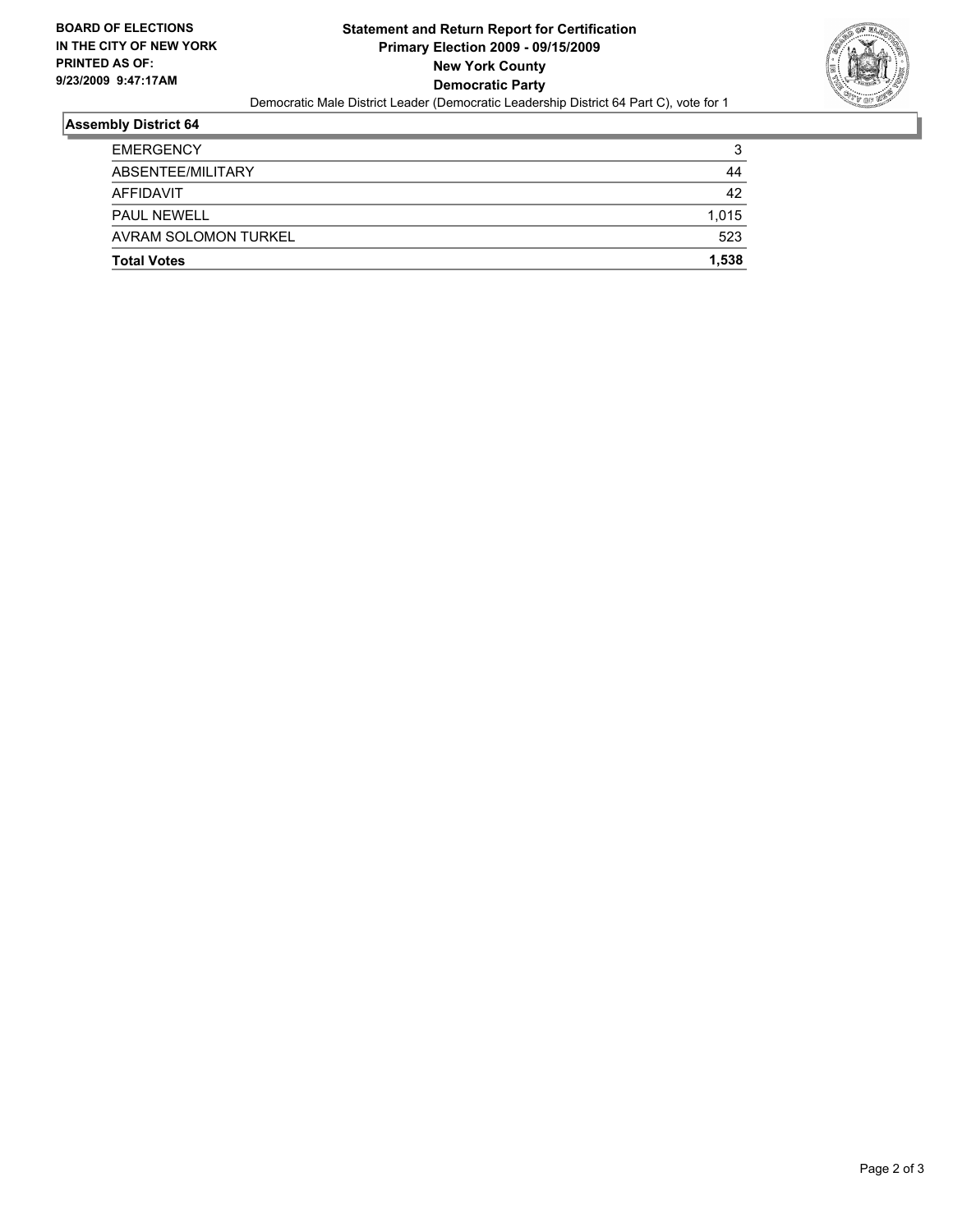

## **Assembly District 64**

| <b>Total Votes</b>   | 1.538 |
|----------------------|-------|
| AVRAM SOLOMON TURKEL | 523   |
| <b>PAUL NEWELL</b>   | 1.015 |
| AFFIDAVIT            | 42    |
| ABSENTEE/MILITARY    | 44    |
| <b>EMERGENCY</b>     | 3     |